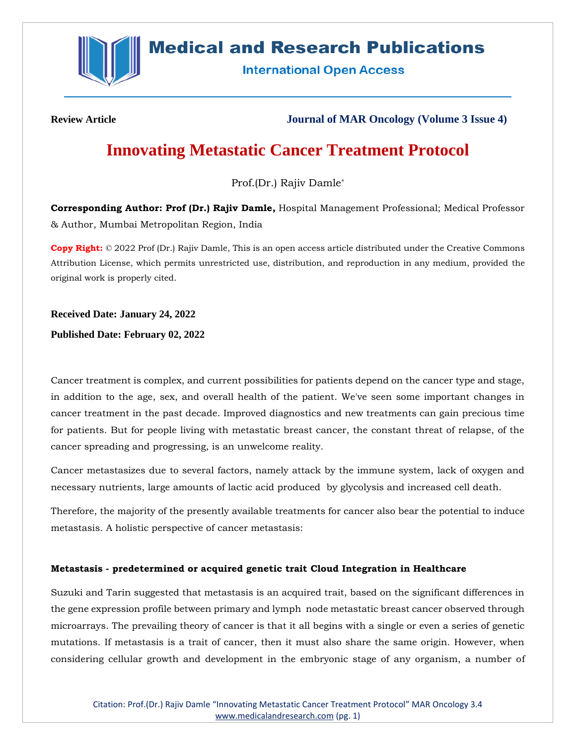

# **Medical and Research Publications**

**International Open Access** 

**Review Article Journal of MAR Oncology (Volume 3 Issue 4)**

# **Innovating Metastatic Cancer Treatment Protocol**

Prof.(Dr.) Rajiv Damle\*

**Corresponding Author: Prof (Dr.) Rajiv Damle,** Hospital Management Professional; Medical Professor & Author, Mumbai Metropolitan Region, India

**Copy Right:** © 2022 Prof (Dr.) Rajiv Damle, This is an open access article distributed under the Creative Commons Attribution License, which permits unrestricted use, distribution, and reproduction in any medium, provided the original work is properly cited.

**Received Date: January 24, 2022**

**Published Date: February 02, 2022**

Cancer treatment is complex, and current possibilities for patients depend on the cancer type and stage, in addition to the age, sex, and overall health of the patient. We've seen some important changes in cancer treatment in the past decade. Improved diagnostics and new treatments can gain precious time for patients. But for people living with metastatic breast cancer, the constant threat of relapse, of the cancer spreading and progressing, is an unwelcome reality.

Cancer metastasizes due to several factors, namely attack by the immune system, lack of oxygen and necessary nutrients, large amounts of lactic acid produced by glycolysis and increased cell death.

Therefore, the majority of the presently available treatments for cancer also bear the potential to induce metastasis. A holistic perspective of cancer metastasis:

# **Metastasis - predetermined or acquired genetic trait Cloud Integration in Healthcare**

Suzuki and Tarin suggested that metastasis is an acquired trait, based on the significant differences in the gene expression profile between primary and lymph node metastatic breast cancer observed through microarrays. The prevailing theory of cancer is that it all begins with a single or even a series of genetic mutations. If metastasis is a trait of cancer, then it must also share the same origin. However, when considering cellular growth and development in the embryonic stage of any organism, a number of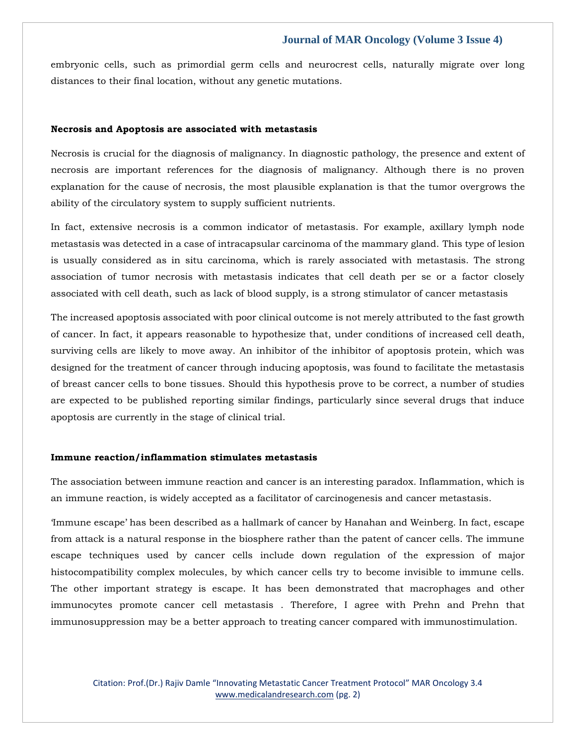embryonic cells, such as primordial germ cells and neurocrest cells, naturally migrate over long distances to their final location, without any genetic mutations.

## **Necrosis and Apoptosis are associated with metastasis**

Necrosis is crucial for the diagnosis of malignancy. In diagnostic pathology, the presence and extent of necrosis are important references for the diagnosis of malignancy. Although there is no proven explanation for the cause of necrosis, the most plausible explanation is that the tumor overgrows the ability of the circulatory system to supply sufficient nutrients.

In fact, extensive necrosis is a common indicator of metastasis. For example, axillary lymph node metastasis was detected in a case of intracapsular carcinoma of the mammary gland. This type of lesion is usually considered as in situ carcinoma, which is rarely associated with metastasis. The strong association of tumor necrosis with metastasis indicates that cell death per se or a factor closely associated with cell death, such as lack of blood supply, is a strong stimulator of cancer metastasis

The increased apoptosis associated with poor clinical outcome is not merely attributed to the fast growth of cancer. In fact, it appears reasonable to hypothesize that, under conditions of increased cell death, surviving cells are likely to move away. An inhibitor of the inhibitor of apoptosis protein, which was designed for the treatment of cancer through inducing apoptosis, was found to facilitate the metastasis of breast cancer cells to bone tissues. Should this hypothesis prove to be correct, a number of studies are expected to be published reporting similar findings, particularly since several drugs that induce apoptosis are currently in the stage of clinical trial.

#### **Immune reaction/inflammation stimulates metastasis**

The association between immune reaction and cancer is an interesting paradox. Inflammation, which is an immune reaction, is widely accepted as a facilitator of carcinogenesis and cancer metastasis.

'Immune escape' has been described as a hallmark of cancer by Hanahan and Weinberg. In fact, escape from attack is a natural response in the biosphere rather than the patent of cancer cells. The immune escape techniques used by cancer cells include down regulation of the expression of major histocompatibility complex molecules, by which cancer cells try to become invisible to immune cells. The other important strategy is escape. It has been demonstrated that macrophages and other immunocytes promote cancer cell metastasis . Therefore, I agree with Prehn and Prehn that immunosuppression may be a better approach to treating cancer compared with immunostimulation.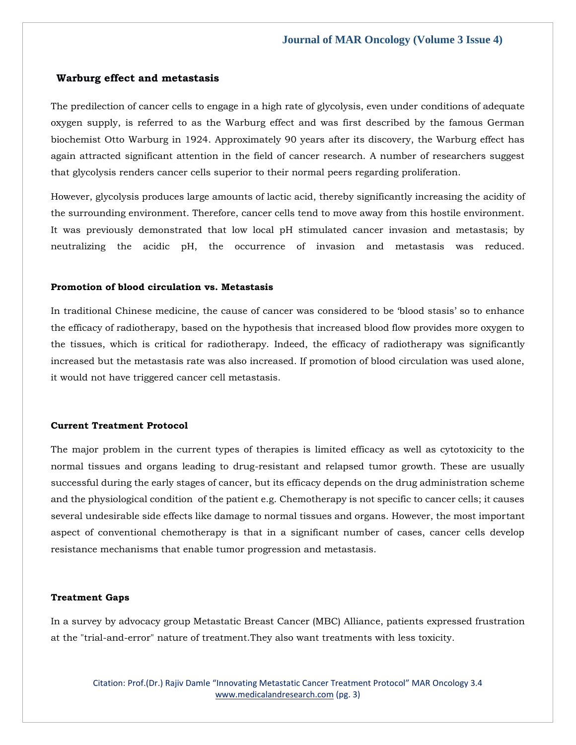## **Warburg effect and metastasis**

The predilection of cancer cells to engage in a high rate of glycolysis, even under conditions of adequate oxygen supply, is referred to as the Warburg effect and was first described by the famous German biochemist Otto Warburg in 1924. Approximately 90 years after its discovery, the Warburg effect has again attracted significant attention in the field of cancer research. A number of researchers suggest that glycolysis renders cancer cells superior to their normal peers regarding proliferation.

However, glycolysis produces large amounts of lactic acid, thereby significantly increasing the acidity of the surrounding environment. Therefore, cancer cells tend to move away from this hostile environment. It was previously demonstrated that low local pH stimulated cancer invasion and metastasis; by neutralizing the acidic pH, the occurrence of invasion and metastasis was reduced.

## **Promotion of blood circulation vs. Metastasis**

In traditional Chinese medicine, the cause of cancer was considered to be 'blood stasis' so to enhance the efficacy of radiotherapy, based on the hypothesis that increased blood flow provides more oxygen to the tissues, which is critical for radiotherapy. Indeed, the efficacy of radiotherapy was significantly increased but the metastasis rate was also increased. If promotion of blood circulation was used alone, it would not have triggered cancer cell metastasis.

### **Current Treatment Protocol**

The major problem in the current types of therapies is limited efficacy as well as cytotoxicity to the normal tissues and organs leading to drug-resistant and relapsed tumor growth. These are usually successful during the early stages of cancer, but its efficacy depends on the drug administration scheme and the physiological condition of the patient e.g. Chemotherapy is not specific to cancer cells; it causes several undesirable side effects like damage to normal tissues and organs. However, the most important aspect of conventional chemotherapy is that in a significant number of cases, cancer cells develop resistance mechanisms that enable tumor progression and metastasis.

### **Treatment Gaps**

In a survey by advocacy group Metastatic Breast Cancer (MBC) Alliance, patients expressed frustration at the "trial-and-error" nature of treatment.They also want treatments with less toxicity.

Citation: Prof.(Dr.) Rajiv Damle "Innovating Metastatic Cancer Treatment Protocol" MAR Oncology 3.4 [www.medicalandresearch.com](http://www.medicalandresearch.com/) (pg. 3)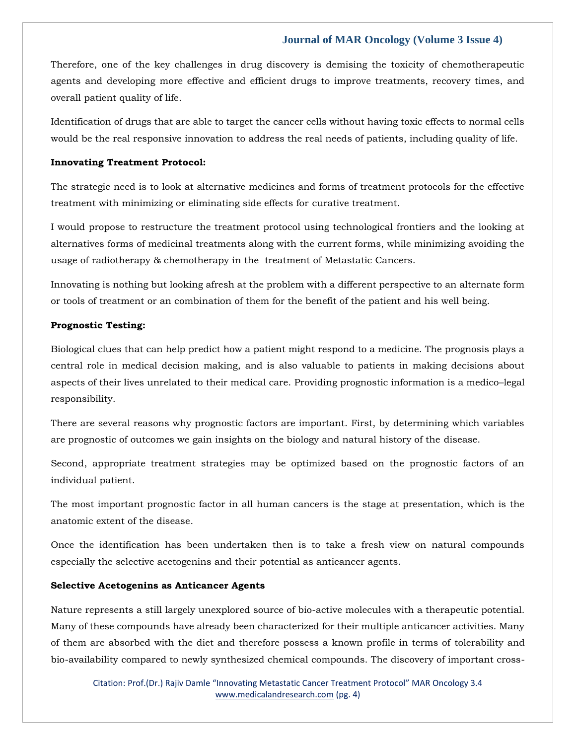Therefore, one of the key challenges in drug discovery is demising the toxicity of chemotherapeutic agents and developing more effective and efficient drugs to improve treatments, recovery times, and overall patient quality of life.

Identification of drugs that are able to target the cancer cells without having toxic effects to normal cells would be the real responsive innovation to address the real needs of patients, including quality of life.

## **Innovating Treatment Protocol:**

The strategic need is to look at alternative medicines and forms of treatment protocols for the effective treatment with minimizing or eliminating side effects for curative treatment.

I would propose to restructure the treatment protocol using technological frontiers and the looking at alternatives forms of medicinal treatments along with the current forms, while minimizing avoiding the usage of radiotherapy & chemotherapy in the treatment of Metastatic Cancers.

Innovating is nothing but looking afresh at the problem with a different perspective to an alternate form or tools of treatment or an combination of them for the benefit of the patient and his well being.

## **Prognostic Testing:**

Biological clues that can help predict how a patient might respond to a medicine. The prognosis plays a central role in medical decision making, and is also valuable to patients in making decisions about aspects of their lives unrelated to their medical care. Providing prognostic information is a medico–legal responsibility.

There are several reasons why prognostic factors are important. First, by determining which variables are prognostic of outcomes we gain insights on the biology and natural history of the disease.

Second, appropriate treatment strategies may be optimized based on the prognostic factors of an individual patient.

The most important prognostic factor in all human cancers is the stage at presentation, which is the anatomic extent of the disease.

Once the identification has been undertaken then is to take a fresh view on natural compounds especially the selective acetogenins and their potential as anticancer agents.

## **Selective Acetogenins as Anticancer Agents**

Nature represents a still largely unexplored source of bio-active molecules with a therapeutic potential. Many of these compounds have already been characterized for their multiple anticancer activities. Many of them are absorbed with the diet and therefore possess a known profile in terms of tolerability and bio-availability compared to newly synthesized chemical compounds. The discovery of important cross-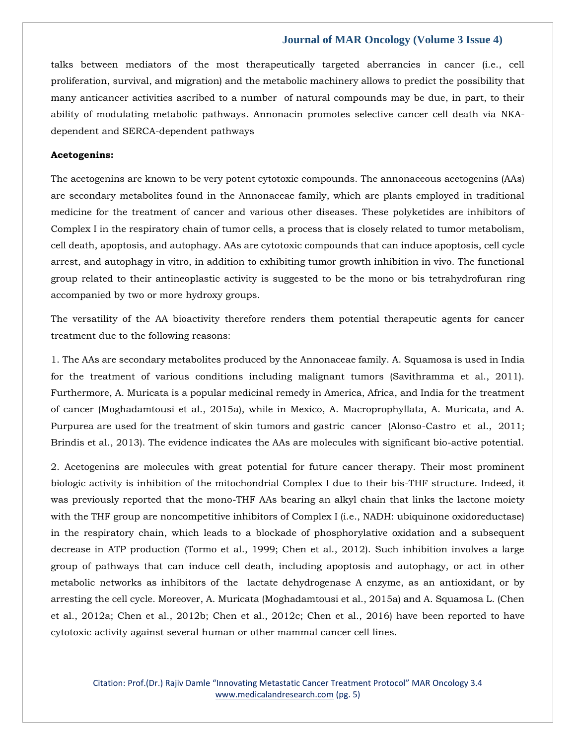talks between mediators of the most therapeutically targeted aberrancies in cancer (i.e., cell proliferation, survival, and migration) and the metabolic machinery allows to predict the possibility that many anticancer activities ascribed to a number of natural compounds may be due, in part, to their ability of modulating metabolic pathways. Annonacin promotes selective cancer cell death via NKAdependent and SERCA-dependent pathways

# **Acetogenins:**

The acetogenins are known to be very potent cytotoxic compounds. The annonaceous acetogenins (AAs) are secondary metabolites found in the Annonaceae family, which are plants employed in traditional medicine for the treatment of cancer and various other diseases. These polyketides are inhibitors of Complex I in the respiratory chain of tumor cells, a process that is closely related to tumor metabolism, cell death, apoptosis, and autophagy. AAs are cytotoxic compounds that can induce apoptosis, cell cycle arrest, and autophagy in vitro, in addition to exhibiting tumor growth inhibition in vivo. The functional group related to their antineoplastic activity is suggested to be the mono or bis tetrahydrofuran ring accompanied by two or more hydroxy groups.

The versatility of the AA bioactivity therefore renders them potential therapeutic agents for cancer treatment due to the following reasons:

1. The AAs are secondary metabolites produced by the Annonaceae family. A. Squamosa is used in India for the treatment of various conditions including malignant tumors (Savithramma et al., 2011). Furthermore, A. Muricata is a popular medicinal remedy in America, Africa, and India for the treatment of cancer (Moghadamtousi et al., 2015a), while in Mexico, A. Macroprophyllata, A. Muricata, and A. Purpurea are used for the treatment of skin tumors and gastric cancer (Alonso-Castro et al., 2011; Brindis et al., 2013). The evidence indicates the AAs are molecules with significant bio-active potential.

2. Acetogenins are molecules with great potential for future cancer therapy. Their most prominent biologic activity is inhibition of the mitochondrial Complex I due to their bis-THF structure. Indeed, it was previously reported that the mono-THF AAs bearing an alkyl chain that links the lactone moiety with the THF group are noncompetitive inhibitors of Complex I (i.e., NADH: ubiquinone oxidoreductase) in the respiratory chain, which leads to a blockade of phosphorylative oxidation and a subsequent decrease in ATP production (Tormo et al., 1999; Chen et al., 2012). Such inhibition involves a large group of pathways that can induce cell death, including apoptosis and autophagy, or act in other metabolic networks as inhibitors of the lactate dehydrogenase A enzyme, as an antioxidant, or by arresting the cell cycle. Moreover, A. Muricata (Moghadamtousi et al., 2015a) and A. Squamosa L. (Chen et al., 2012a; Chen et al., 2012b; Chen et al., 2012c; Chen et al., 2016) have been reported to have cytotoxic activity against several human or other mammal cancer cell lines.

Citation: Prof.(Dr.) Rajiv Damle "Innovating Metastatic Cancer Treatment Protocol" MAR Oncology 3.4 [www.medicalandresearch.com](http://www.medicalandresearch.com/) (pg. 5)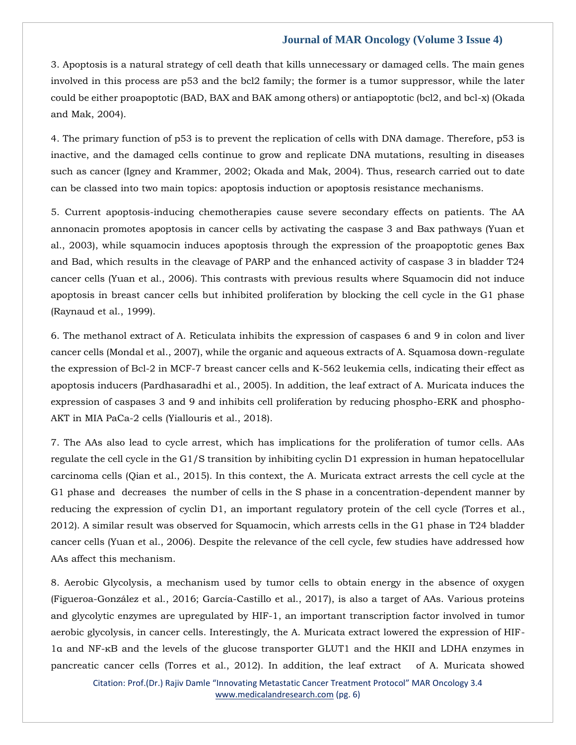3. Apoptosis is a natural strategy of cell death that kills unnecessary or damaged cells. The main genes involved in this process are p53 and the bcl2 family; the former is a tumor suppressor, while the later could be either proapoptotic (BAD, BAX and BAK among others) or antiapoptotic (bcl2, and bcl-x) (Okada and Mak, 2004).

4. The primary function of p53 is to prevent the replication of cells with DNA damage. Therefore, p53 is inactive, and the damaged cells continue to grow and replicate DNA mutations, resulting in diseases such as cancer (Igney and Krammer, 2002; Okada and Mak, 2004). Thus, research carried out to date can be classed into two main topics: apoptosis induction or apoptosis resistance mechanisms.

5. Current apoptosis-inducing chemotherapies cause severe secondary effects on patients. The AA annonacin promotes apoptosis in cancer cells by activating the caspase 3 and Bax pathways (Yuan et al., 2003), while squamocin induces apoptosis through the expression of the proapoptotic genes Bax and Bad, which results in the cleavage of PARP and the enhanced activity of caspase 3 in bladder T24 cancer cells (Yuan et al., 2006). This contrasts with previous results where Squamocin did not induce apoptosis in breast cancer cells but inhibited proliferation by blocking the cell cycle in the G1 phase (Raynaud et al., 1999).

6. The methanol extract of A. Reticulata inhibits the expression of caspases 6 and 9 in colon and liver cancer cells (Mondal et al., 2007), while the organic and aqueous extracts of A. Squamosa down-regulate the expression of Bcl-2 in MCF-7 breast cancer cells and K-562 leukemia cells, indicating their effect as apoptosis inducers (Pardhasaradhi et al., 2005). In addition, the leaf extract of A. Muricata induces the expression of caspases 3 and 9 and inhibits cell proliferation by reducing phospho-ERK and phospho-AKT in MIA PaCa-2 cells (Yiallouris et al., 2018).

7. The AAs also lead to cycle arrest, which has implications for the proliferation of tumor cells. AAs regulate the cell cycle in the G1/S transition by inhibiting cyclin D1 expression in human hepatocellular carcinoma cells (Qian et al., 2015). In this context, the A. Muricata extract arrests the cell cycle at the G1 phase and decreases the number of cells in the S phase in a concentration-dependent manner by reducing the expression of cyclin D1, an important regulatory protein of the cell cycle (Torres et al., 2012). A similar result was observed for Squamocin, which arrests cells in the G1 phase in T24 bladder cancer cells (Yuan et al., 2006). Despite the relevance of the cell cycle, few studies have addressed how AAs affect this mechanism.

8. Aerobic Glycolysis, a mechanism used by tumor cells to obtain energy in the absence of oxygen (Figueroa-González et al., 2016; García-Castillo et al., 2017), is also a target of AAs. Various proteins and glycolytic enzymes are upregulated by HIF-1, an important transcription factor involved in tumor aerobic glycolysis, in cancer cells. Interestingly, the A. Muricata extract lowered the expression of HIF-1α and NF-κB and the levels of the glucose transporter GLUT1 and the HKII and LDHA enzymes in pancreatic cancer cells (Torres et al., 2012). In addition, the leaf extract of A. Muricata showed

Citation: Prof.(Dr.) Rajiv Damle "Innovating Metastatic Cancer Treatment Protocol" MAR Oncology 3.4 [www.medicalandresearch.com](http://www.medicalandresearch.com/) (pg. 6)